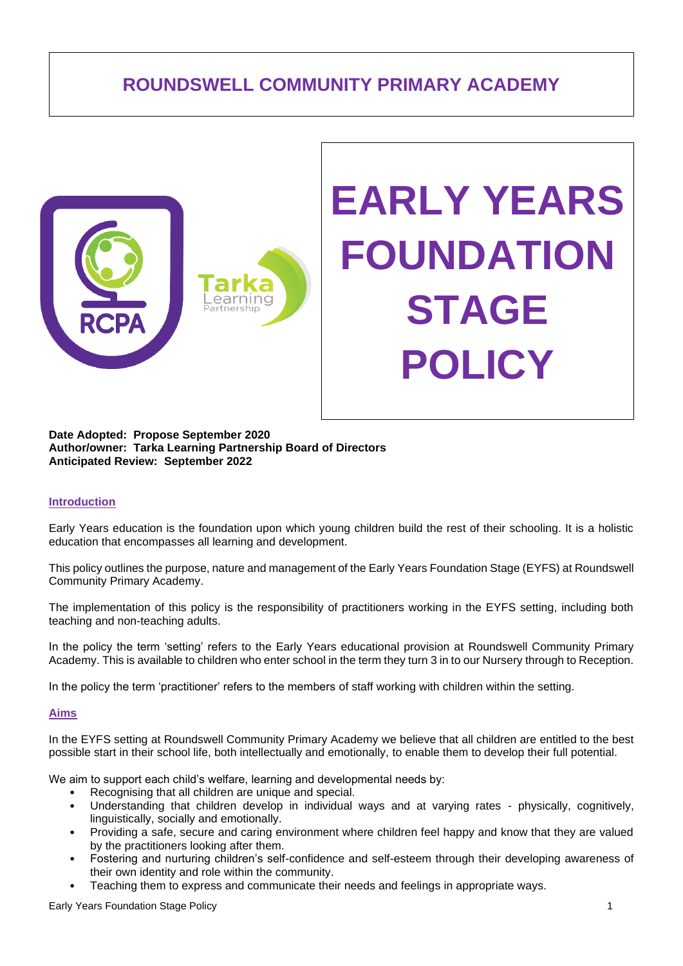# **ROUNDSWELL COMMUNITY PRIMARY ACADEMY**



# **EARLY YEARS FOUNDATION STAGE POLICY**

#### **Date Adopted: Propose September 2020 Author/owner: Tarka Learning Partnership Board of Directors Anticipated Review: September 2022**

#### **Introduction**

Early Years education is the foundation upon which young children build the rest of their schooling. It is a holistic education that encompasses all learning and development.

This policy outlines the purpose, nature and management of the Early Years Foundation Stage (EYFS) at Roundswell Community Primary Academy.

The implementation of this policy is the responsibility of practitioners working in the EYFS setting, including both teaching and non-teaching adults.

In the policy the term 'setting' refers to the Early Years educational provision at Roundswell Community Primary Academy. This is available to children who enter school in the term they turn 3 in to our Nursery through to Reception.

In the policy the term 'practitioner' refers to the members of staff working with children within the setting.

#### **Aims**

In the EYFS setting at Roundswell Community Primary Academy we believe that all children are entitled to the best possible start in their school life, both intellectually and emotionally, to enable them to develop their full potential.

We aim to support each child's welfare, learning and developmental needs by:

- Recognising that all children are unique and special.
- Understanding that children develop in individual ways and at varying rates physically, cognitively, linguistically, socially and emotionally.
- Providing a safe, secure and caring environment where children feel happy and know that they are valued by the practitioners looking after them.
- Fostering and nurturing children's self-confidence and self-esteem through their developing awareness of their own identity and role within the community.
- Teaching them to express and communicate their needs and feelings in appropriate ways.

Early Years Foundation Stage Policy 1 and 2008 1 and 2009 1 and 2009 1 and 2009 1 and 2009 1 and 2009 1 and 200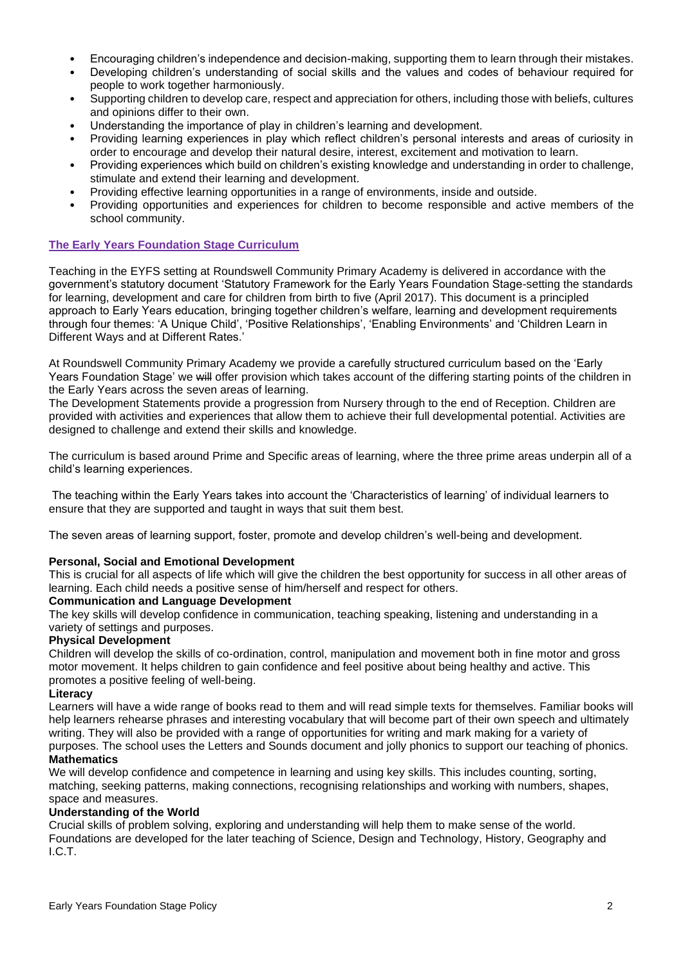- Encouraging children's independence and decision-making, supporting them to learn through their mistakes.
- Developing children's understanding of social skills and the values and codes of behaviour required for people to work together harmoniously.
- Supporting children to develop care, respect and appreciation for others, including those with beliefs, cultures and opinions differ to their own.
- Understanding the importance of play in children's learning and development.
- Providing learning experiences in play which reflect children's personal interests and areas of curiosity in order to encourage and develop their natural desire, interest, excitement and motivation to learn.
- Providing experiences which build on children's existing knowledge and understanding in order to challenge, stimulate and extend their learning and development.
- Providing effective learning opportunities in a range of environments, inside and outside.
- Providing opportunities and experiences for children to become responsible and active members of the school community.

# **The Early Years Foundation Stage Curriculum**

Teaching in the EYFS setting at Roundswell Community Primary Academy is delivered in accordance with the government's statutory document 'Statutory Framework for the Early Years Foundation Stage-setting the standards for learning, development and care for children from birth to five (April 2017). This document is a principled approach to Early Years education, bringing together children's welfare, learning and development requirements through four themes: 'A Unique Child', 'Positive Relationships', 'Enabling Environments' and 'Children Learn in Different Ways and at Different Rates.'

At Roundswell Community Primary Academy we provide a carefully structured curriculum based on the 'Early Years Foundation Stage' we will offer provision which takes account of the differing starting points of the children in the Early Years across the seven areas of learning.

The Development Statements provide a progression from Nursery through to the end of Reception. Children are provided with activities and experiences that allow them to achieve their full developmental potential. Activities are designed to challenge and extend their skills and knowledge.

The curriculum is based around Prime and Specific areas of learning, where the three prime areas underpin all of a child's learning experiences.

The teaching within the Early Years takes into account the 'Characteristics of learning' of individual learners to ensure that they are supported and taught in ways that suit them best.

The seven areas of learning support, foster, promote and develop children's well-being and development.

# **Personal, Social and Emotional Development**

This is crucial for all aspects of life which will give the children the best opportunity for success in all other areas of learning. Each child needs a positive sense of him/herself and respect for others.

# **Communication and Language Development**

The key skills will develop confidence in communication, teaching speaking, listening and understanding in a variety of settings and purposes.

#### **Physical Development**

Children will develop the skills of co-ordination, control, manipulation and movement both in fine motor and gross motor movement. It helps children to gain confidence and feel positive about being healthy and active. This promotes a positive feeling of well-being.

#### **Literacy**

Learners will have a wide range of books read to them and will read simple texts for themselves. Familiar books will help learners rehearse phrases and interesting vocabulary that will become part of their own speech and ultimately writing. They will also be provided with a range of opportunities for writing and mark making for a variety of purposes. The school uses the Letters and Sounds document and jolly phonics to support our teaching of phonics.

# **Mathematics**

We will develop confidence and competence in learning and using key skills. This includes counting, sorting, matching, seeking patterns, making connections, recognising relationships and working with numbers, shapes, space and measures.

# **Understanding of the World**

Crucial skills of problem solving, exploring and understanding will help them to make sense of the world. Foundations are developed for the later teaching of Science, Design and Technology, History, Geography and I.C.T.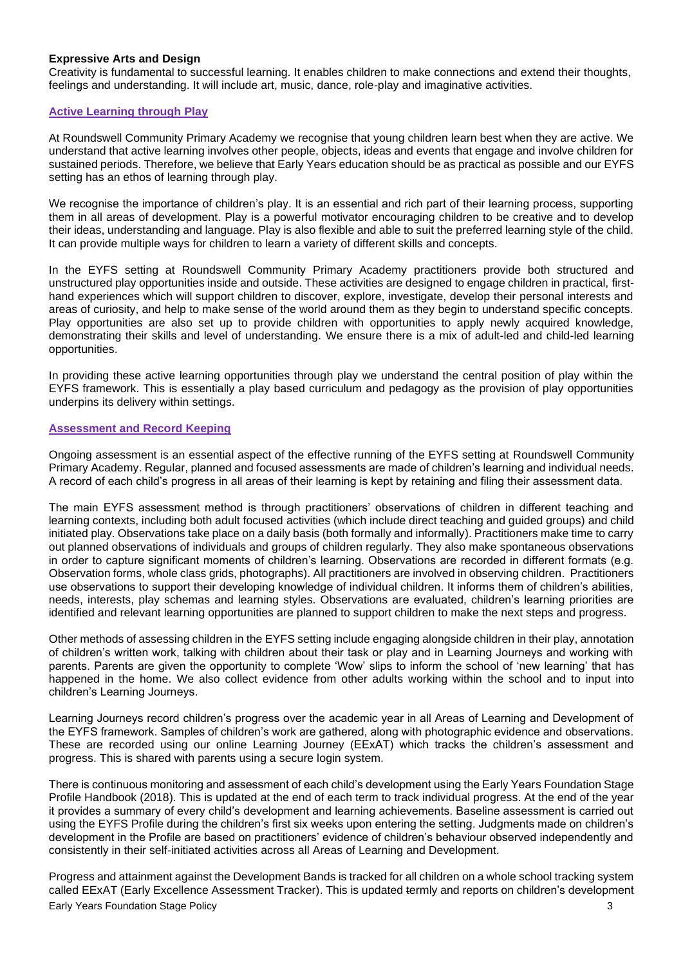### **Expressive Arts and Design**

Creativity is fundamental to successful learning. It enables children to make connections and extend their thoughts, feelings and understanding. It will include art, music, dance, role-play and imaginative activities.

## **Active Learning through Play**

At Roundswell Community Primary Academy we recognise that young children learn best when they are active. We understand that active learning involves other people, objects, ideas and events that engage and involve children for sustained periods. Therefore, we believe that Early Years education should be as practical as possible and our EYFS setting has an ethos of learning through play.

We recognise the importance of children's play. It is an essential and rich part of their learning process, supporting them in all areas of development. Play is a powerful motivator encouraging children to be creative and to develop their ideas, understanding and language. Play is also flexible and able to suit the preferred learning style of the child. It can provide multiple ways for children to learn a variety of different skills and concepts.

In the EYFS setting at Roundswell Community Primary Academy practitioners provide both structured and unstructured play opportunities inside and outside. These activities are designed to engage children in practical, firsthand experiences which will support children to discover, explore, investigate, develop their personal interests and areas of curiosity, and help to make sense of the world around them as they begin to understand specific concepts. Play opportunities are also set up to provide children with opportunities to apply newly acquired knowledge, demonstrating their skills and level of understanding. We ensure there is a mix of adult-led and child-led learning opportunities.

In providing these active learning opportunities through play we understand the central position of play within the EYFS framework. This is essentially a play based curriculum and pedagogy as the provision of play opportunities underpins its delivery within settings.

### **Assessment and Record Keeping**

Ongoing assessment is an essential aspect of the effective running of the EYFS setting at Roundswell Community Primary Academy. Regular, planned and focused assessments are made of children's learning and individual needs. A record of each child's progress in all areas of their learning is kept by retaining and filing their assessment data.

The main EYFS assessment method is through practitioners' observations of children in different teaching and learning contexts, including both adult focused activities (which include direct teaching and guided groups) and child initiated play. Observations take place on a daily basis (both formally and informally). Practitioners make time to carry out planned observations of individuals and groups of children regularly. They also make spontaneous observations in order to capture significant moments of children's learning. Observations are recorded in different formats (e.g. Observation forms, whole class grids, photographs). All practitioners are involved in observing children. Practitioners use observations to support their developing knowledge of individual children. It informs them of children's abilities, needs, interests, play schemas and learning styles. Observations are evaluated, children's learning priorities are identified and relevant learning opportunities are planned to support children to make the next steps and progress.

Other methods of assessing children in the EYFS setting include engaging alongside children in their play, annotation of children's written work, talking with children about their task or play and in Learning Journeys and working with parents. Parents are given the opportunity to complete 'Wow' slips to inform the school of 'new learning' that has happened in the home. We also collect evidence from other adults working within the school and to input into children's Learning Journeys.

Learning Journeys record children's progress over the academic year in all Areas of Learning and Development of the EYFS framework. Samples of children's work are gathered, along with photographic evidence and observations. These are recorded using our online Learning Journey (EExAT) which tracks the children's assessment and progress. This is shared with parents using a secure login system.

There is continuous monitoring and assessment of each child's development using the Early Years Foundation Stage Profile Handbook (2018). This is updated at the end of each term to track individual progress. At the end of the year it provides a summary of every child's development and learning achievements. Baseline assessment is carried out using the EYFS Profile during the children's first six weeks upon entering the setting. Judgments made on children's development in the Profile are based on practitioners' evidence of children's behaviour observed independently and consistently in their self-initiated activities across all Areas of Learning and Development.

**Early Years Foundation Stage Policy 3** 3 Progress and attainment against the Development Bands is tracked for all children on a whole school tracking system called EExAT (Early Excellence Assessment Tracker). This is updated termly and reports on children's development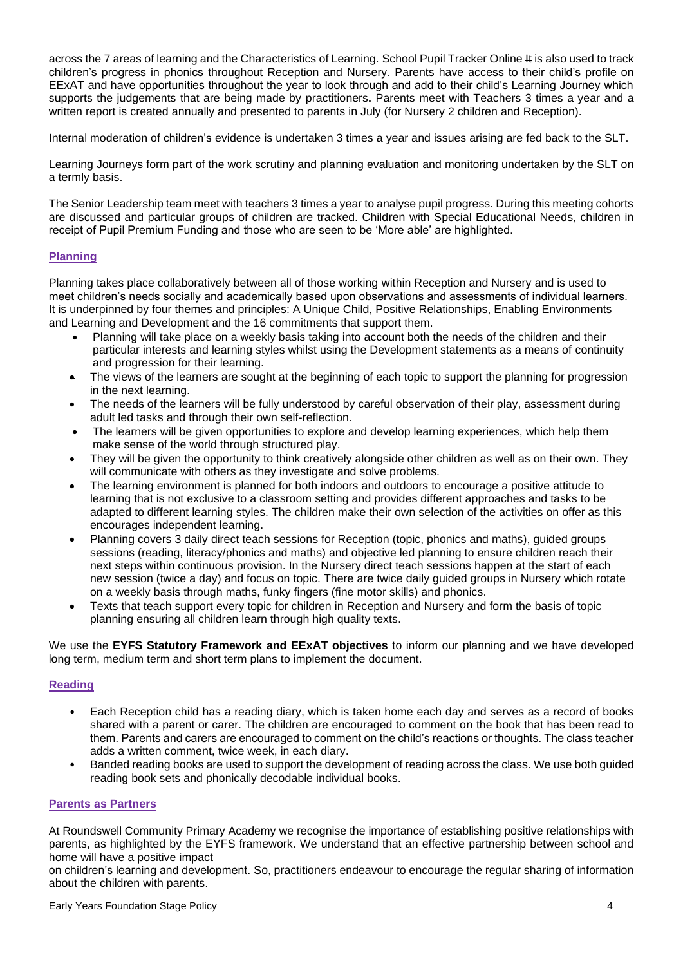across the 7 areas of learning and the Characteristics of Learning. School Pupil Tracker Online # is also used to track children's progress in phonics throughout Reception and Nursery. Parents have access to their child's profile on EExAT and have opportunities throughout the year to look through and add to their child's Learning Journey which supports the judgements that are being made by practitioners**.** Parents meet with Teachers 3 times a year and a written report is created annually and presented to parents in July (for Nursery 2 children and Reception).

Internal moderation of children's evidence is undertaken 3 times a year and issues arising are fed back to the SLT.

Learning Journeys form part of the work scrutiny and planning evaluation and monitoring undertaken by the SLT on a termly basis.

The Senior Leadership team meet with teachers 3 times a year to analyse pupil progress. During this meeting cohorts are discussed and particular groups of children are tracked. Children with Special Educational Needs, children in receipt of Pupil Premium Funding and those who are seen to be 'More able' are highlighted.

# **Planning**

Planning takes place collaboratively between all of those working within Reception and Nursery and is used to meet children's needs socially and academically based upon observations and assessments of individual learners. It is underpinned by four themes and principles: A Unique Child, Positive Relationships, Enabling Environments and Learning and Development and the 16 commitments that support them.

- Planning will take place on a weekly basis taking into account both the needs of the children and their particular interests and learning styles whilst using the Development statements as a means of continuity and progression for their learning.
- The views of the learners are sought at the beginning of each topic to support the planning for progression in the next learning.
- The needs of the learners will be fully understood by careful observation of their play, assessment during adult led tasks and through their own self-reflection.
- The learners will be given opportunities to explore and develop learning experiences, which help them make sense of the world through structured play.
- They will be given the opportunity to think creatively alongside other children as well as on their own. They will communicate with others as they investigate and solve problems.
- The learning environment is planned for both indoors and outdoors to encourage a positive attitude to learning that is not exclusive to a classroom setting and provides different approaches and tasks to be adapted to different learning styles. The children make their own selection of the activities on offer as this encourages independent learning.
- Planning covers 3 daily direct teach sessions for Reception (topic, phonics and maths), guided groups sessions (reading, literacy/phonics and maths) and objective led planning to ensure children reach their next steps within continuous provision. In the Nursery direct teach sessions happen at the start of each new session (twice a day) and focus on topic. There are twice daily guided groups in Nursery which rotate on a weekly basis through maths, funky fingers (fine motor skills) and phonics.
- Texts that teach support every topic for children in Reception and Nursery and form the basis of topic planning ensuring all children learn through high quality texts.

We use the **EYFS Statutory Framework and EExAT objectives** to inform our planning and we have developed long term, medium term and short term plans to implement the document.

# **Reading**

- Each Reception child has a reading diary, which is taken home each day and serves as a record of books shared with a parent or carer. The children are encouraged to comment on the book that has been read to them. Parents and carers are encouraged to comment on the child's reactions or thoughts. The class teacher adds a written comment, twice week, in each diary.
- Banded reading books are used to support the development of reading across the class. We use both guided reading book sets and phonically decodable individual books.

#### **Parents as Partners**

At Roundswell Community Primary Academy we recognise the importance of establishing positive relationships with parents, as highlighted by the EYFS framework. We understand that an effective partnership between school and home will have a positive impact

on children's learning and development. So, practitioners endeavour to encourage the regular sharing of information about the children with parents.